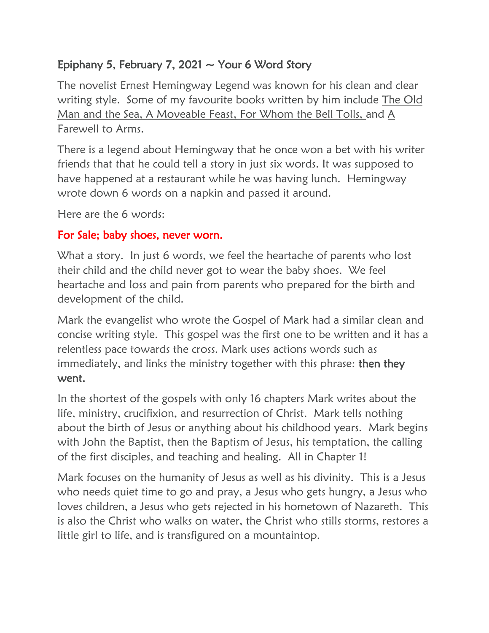## Epiphany 5, February 7, 2021  $\sim$  Your 6 Word Story

The novelist Ernest Hemingway Legend was known for his clean and clear writing style. Some of my favourite books written by him include The Old Man and the Sea, A Moveable Feast, For Whom the Bell Tolls, and A Farewell to Arms.

There is a legend about Hemingway that he once won a bet with his writer friends that that he could tell a story in just six words. It was supposed to have happened at a restaurant while he was having lunch. Hemingway wrote down 6 words on a napkin and passed it around.

Here are the 6 words:

## For Sale; baby shoes, never worn.

What a story. In just 6 words, we feel the heartache of parents who lost their child and the child never got to wear the baby shoes. We feel heartache and loss and pain from parents who prepared for the birth and development of the child.

Mark the evangelist who wrote the Gospel of Mark had a similar clean and concise writing style. This gospel was the first one to be written and it has a relentless pace towards the cross. Mark uses actions words such as immediately, and links the ministry together with this phrase: **then they** went.

In the shortest of the gospels with only 16 chapters Mark writes about the life, ministry, crucifixion, and resurrection of Christ. Mark tells nothing about the birth of Jesus or anything about his childhood years. Mark begins with John the Baptist, then the Baptism of Jesus, his temptation, the calling of the first disciples, and teaching and healing. All in Chapter 1!

Mark focuses on the humanity of Jesus as well as his divinity. This is a Jesus who needs quiet time to go and pray, a Jesus who gets hungry, a Jesus who loves children, a Jesus who gets rejected in his hometown of Nazareth. This is also the Christ who walks on water, the Christ who stills storms, restores a little girl to life, and is transfigured on a mountaintop.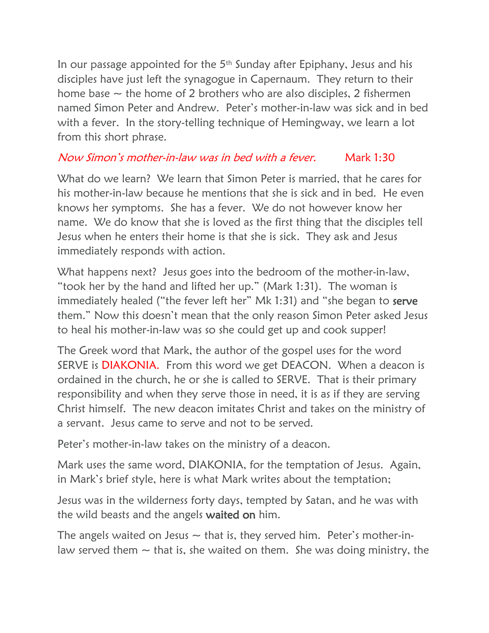In our passage appointed for the  $5<sup>th</sup>$  Sunday after Epiphany, Jesus and his disciples have just left the synagogue in Capernaum. They return to their home base  $\sim$  the home of 2 brothers who are also disciples, 2 fishermen named Simon Peter and Andrew. Peter's mother-in-law was sick and in bed with a fever. In the story-telling technique of Hemingway, we learn a lot from this short phrase.

## Now Simon's mother-in-law was in bed with a fever. Mark 1:30

What do we learn? We learn that Simon Peter is married, that he cares for his mother-in-law because he mentions that she is sick and in bed. He even knows her symptoms. She has a fever. We do not however know her name. We do know that she is loved as the first thing that the disciples tell Jesus when he enters their home is that she is sick. They ask and Jesus immediately responds with action.

What happens next? Jesus goes into the bedroom of the mother-in-law, "took her by the hand and lifted her up." (Mark 1:31). The woman is immediately healed ("the fever left her" Mk 1:31) and "she began to serve them." Now this doesn't mean that the only reason Simon Peter asked Jesus to heal his mother-in-law was so she could get up and cook supper!

The Greek word that Mark, the author of the gospel uses for the word SERVE is DIAKONIA. From this word we get DEACON. When a deacon is ordained in the church, he or she is called to SERVE. That is their primary responsibility and when they serve those in need, it is as if they are serving Christ himself. The new deacon imitates Christ and takes on the ministry of a servant. Jesus came to serve and not to be served.

Peter's mother-in-law takes on the ministry of a deacon.

Mark uses the same word, DIAKONIA, for the temptation of Jesus. Again, in Mark's brief style, here is what Mark writes about the temptation;

Jesus was in the wilderness forty days, tempted by Satan, and he was with the wild beasts and the angels waited on him.

The angels waited on Jesus  $\sim$  that is, they served him. Peter's mother-inlaw served them  $\sim$  that is, she waited on them. She was doing ministry, the